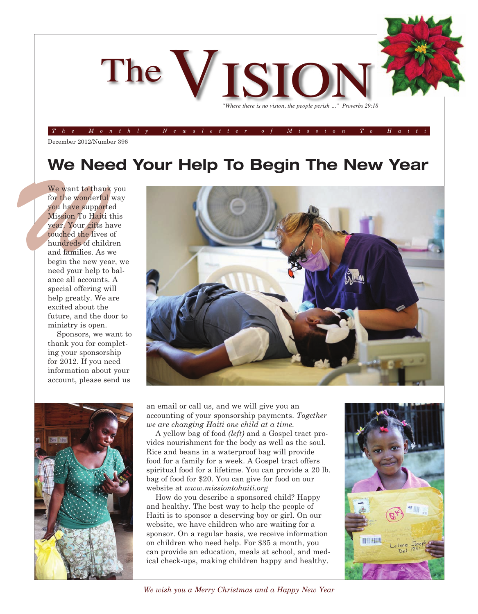

December 2012/Number 396

## **We Need Your Help To Begin The New Year**

**We want to that for the wonder you have supplementally be absorbed to the star of the star of the star of the star of the star of the star of the star of the star of the star of the star of the star of the star of the sta** We want to thank you for the wonderful way you have supported Mission To Haiti this year. Your gifts have touched the lives of hundreds of children and families. As we begin the new year, we need your help to balance all accounts. A special offering will help greatly. We are excited about the future, and the door to ministry is open.

Sponsors, we want to thank you for completing your sponsorship for 2012. If you need information about your account, please send us





an email or call us, and we will give you an accounting of your sponsorship payments. *Together we are changing Haiti one child at a time.*

A yellow bag of food *(left)* and a Gospel tract provides nourishment for the body as well as the soul. Rice and beans in a waterproof bag will provide food for a family for a week. A Gospel tract offers spiritual food for a lifetime. You can provide a 20 lb. bag of food for \$20. You can give for food on our website at *www.missiontohaiti.org*

How do you describe a sponsored child? Happy and healthy. The best way to help the people of Haiti is to sponsor a deserving boy or girl. On our website, we have children who are waiting for a sponsor. On a regular basis, we receive information on children who need help. For \$35 a month, you can provide an education, meals at school, and medical check-ups, making children happy and healthy.



*We wish you a Merry Christmas and a Happy New Year*